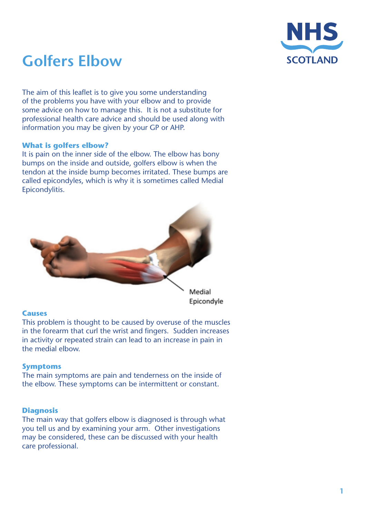

# **Golfers Elbow**

The aim of this leaflet is to give you some understanding of the problems you have with your elbow and to provide some advice on how to manage this. It is not a substitute for professional health care advice and should be used along with information you may be given by your GP or AHP.

# **What is golfers elbow?**

It is pain on the inner side of the elbow. The elbow has bony bumps on the inside and outside, golfers elbow is when the tendon at the inside bump becomes irritated. These bumps are called epicondyles, which is why it is sometimes called Medial Epicondylitis.



# **Causes**

This problem is thought to be caused by overuse of the muscles in the forearm that curl the wrist and fingers. Sudden increases in activity or repeated strain can lead to an increase in pain in the medial elbow.

# **Symptoms**

The main symptoms are pain and tenderness on the inside of the elbow. These symptoms can be intermittent or constant.

# **Diagnosis**

The main way that golfers elbow is diagnosed is through what you tell us and by examining your arm. Other investigations may be considered, these can be discussed with your health care professional.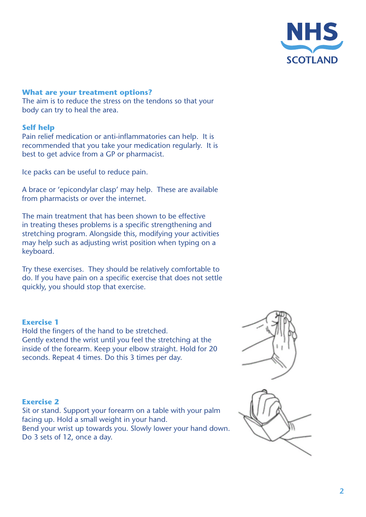

#### **What are your treatment options?**

The aim is to reduce the stress on the tendons so that your body can try to heal the area.

#### **Self help**

Pain relief medication or anti-inflammatories can help. It is recommended that you take your medication regularly. It is best to get advice from a GP or pharmacist.

Ice packs can be useful to reduce pain.

A brace or 'epicondylar clasp' may help. These are available from pharmacists or over the internet.

The main treatment that has been shown to be effective in treating theses problems is a specific strengthening and stretching program. Alongside this, modifying your activities may help such as adjusting wrist position when typing on a keyboard.

Try these exercises. They should be relatively comfortable to do. If you have pain on a specific exercise that does not settle quickly, you should stop that exercise.

#### **Exercise 1**

Hold the fingers of the hand to be stretched. Gently extend the wrist until you feel the stretching at the inside of the forearm. Keep your elbow straight. Hold for 20 seconds. Repeat 4 times. Do this 3 times per day.

#### **Exercise 2**

Sit or stand. Support your forearm on a table with your palm facing up. Hold a small weight in your hand. Bend your wrist up towards you. Slowly lower your hand down. Do 3 sets of 12, once a day.